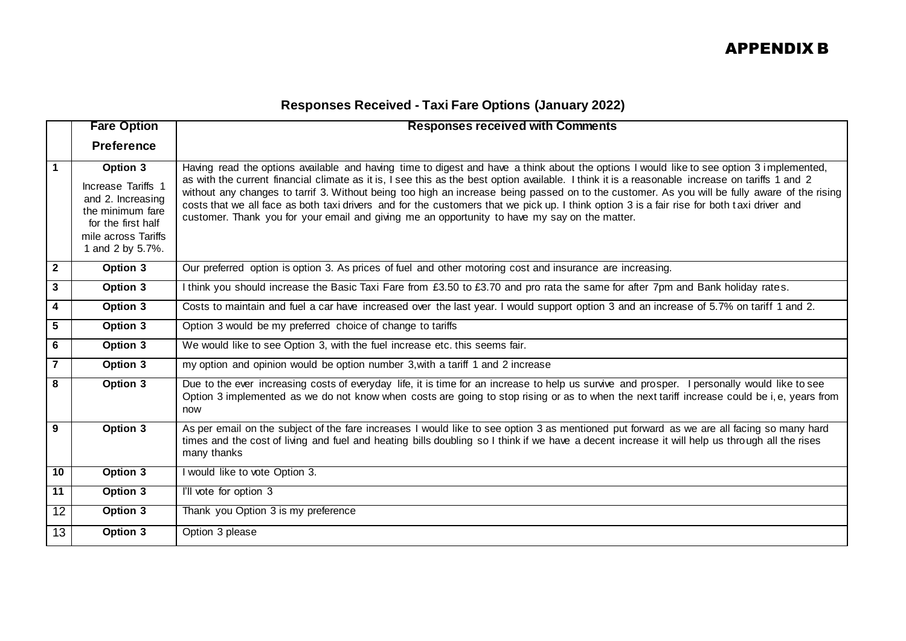## **Responses Received - Taxi Fare Options (January 2022)**

|                 | <b>Fare Option</b>                                                                                                                       | <b>Responses received with Comments</b>                                                                                                                                                                                                                                                                                                                                                                                                                                                                                                                                                                                                                                                      |
|-----------------|------------------------------------------------------------------------------------------------------------------------------------------|----------------------------------------------------------------------------------------------------------------------------------------------------------------------------------------------------------------------------------------------------------------------------------------------------------------------------------------------------------------------------------------------------------------------------------------------------------------------------------------------------------------------------------------------------------------------------------------------------------------------------------------------------------------------------------------------|
|                 | <b>Preference</b>                                                                                                                        |                                                                                                                                                                                                                                                                                                                                                                                                                                                                                                                                                                                                                                                                                              |
| $\overline{1}$  | Option 3<br>Increase Tariffs 1<br>and 2. Increasing<br>the minimum fare<br>for the first half<br>mile across Tariffs<br>1 and 2 by 5.7%. | Having read the options available and having time to digest and have a think about the options I would like to see option 3 implemented,<br>as with the current financial climate as it is, I see this as the best option available. I think it is a reasonable increase on tariffs 1 and 2<br>without any changes to tarrif 3. Without being too high an increase being passed on to the customer. As you will be fully aware of the rising<br>costs that we all face as both taxi drivers and for the customers that we pick up. I think option 3 is a fair rise for both taxi driver and<br>customer. Thank you for your email and giving me an opportunity to have my say on the matter. |
| $\overline{2}$  | Option 3                                                                                                                                 | Our preferred option is option 3. As prices of fuel and other motoring cost and insurance are increasing.                                                                                                                                                                                                                                                                                                                                                                                                                                                                                                                                                                                    |
| $\mathbf{3}$    | Option 3                                                                                                                                 | I think you should increase the Basic Taxi Fare from £3.50 to £3.70 and pro rata the same for after 7pm and Bank holiday rates.                                                                                                                                                                                                                                                                                                                                                                                                                                                                                                                                                              |
| $\overline{4}$  | Option 3                                                                                                                                 | Costs to maintain and fuel a car have increased over the last year. I would support option 3 and an increase of 5.7% on tariff 1 and 2.                                                                                                                                                                                                                                                                                                                                                                                                                                                                                                                                                      |
| $5\phantom{1}$  | Option 3                                                                                                                                 | Option 3 would be my preferred choice of change to tariffs                                                                                                                                                                                                                                                                                                                                                                                                                                                                                                                                                                                                                                   |
| $6\phantom{1}6$ | Option $3$                                                                                                                               | We would like to see Option 3, with the fuel increase etc. this seems fair.                                                                                                                                                                                                                                                                                                                                                                                                                                                                                                                                                                                                                  |
| $\overline{7}$  | Option 3                                                                                                                                 | my option and opinion would be option number 3, with a tariff 1 and 2 increase                                                                                                                                                                                                                                                                                                                                                                                                                                                                                                                                                                                                               |
| 8               | Option 3                                                                                                                                 | Due to the ever increasing costs of everyday life, it is time for an increase to help us survive and prosper. I personally would like to see<br>Option 3 implemented as we do not know when costs are going to stop rising or as to when the next tariff increase could be i, e, years from<br>now                                                                                                                                                                                                                                                                                                                                                                                           |
| 9               | Option 3                                                                                                                                 | As per email on the subject of the fare increases I would like to see option 3 as mentioned put forward as we are all facing so many hard<br>times and the cost of living and fuel and heating bills doubling so I think if we have a decent increase it will help us through all the rises<br>many thanks                                                                                                                                                                                                                                                                                                                                                                                   |
| 10              | Option 3                                                                                                                                 | I would like to vote Option 3.                                                                                                                                                                                                                                                                                                                                                                                                                                                                                                                                                                                                                                                               |
| 11              | Option 3                                                                                                                                 | I'll vote for option 3                                                                                                                                                                                                                                                                                                                                                                                                                                                                                                                                                                                                                                                                       |
| $\overline{12}$ | Option 3                                                                                                                                 | Thank you Option 3 is my preference                                                                                                                                                                                                                                                                                                                                                                                                                                                                                                                                                                                                                                                          |
| 13              | Option 3                                                                                                                                 | Option 3 please                                                                                                                                                                                                                                                                                                                                                                                                                                                                                                                                                                                                                                                                              |